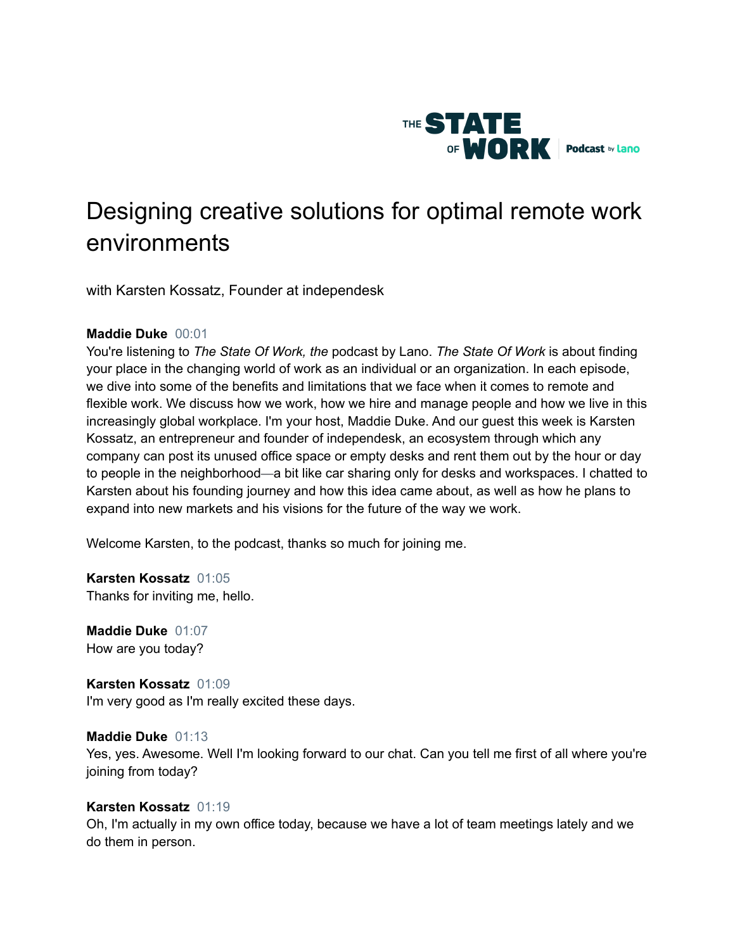

# Designing creative solutions for optimal remote work environments

with Karsten Kossatz, Founder at independesk

# **Maddie Duke** 00:01

You're listening to *The State Of Work, the* podcast by Lano. *The State Of Work* is about finding your place in the changing world of work as an individual or an organization. In each episode, we dive into some of the benefits and limitations that we face when it comes to remote and flexible work. We discuss how we work, how we hire and manage people and how we live in this increasingly global workplace. I'm your host, Maddie Duke. And our guest this week is Karsten Kossatz, an entrepreneur and founder of independesk, an ecosystem through which any company can post its unused office space or empty desks and rent them out by the hour or day to people in the neighborhood—a bit like car sharing only for desks and workspaces. I chatted to Karsten about his founding journey and how this idea came about, as well as how he plans to expand into new markets and his visions for the future of the way we work.

Welcome Karsten, to the podcast, thanks so much for joining me.

**Karsten Kossatz** 01:05 Thanks for inviting me, hello.

**Maddie Duke** 01:07 How are you today?

**Karsten Kossatz** 01:09 I'm very good as I'm really excited these days.

# **Maddie Duke** 01:13

Yes, yes. Awesome. Well I'm looking forward to our chat. Can you tell me first of all where you're joining from today?

# **Karsten Kossatz** 01:19

Oh, I'm actually in my own office today, because we have a lot of team meetings lately and we do them in person.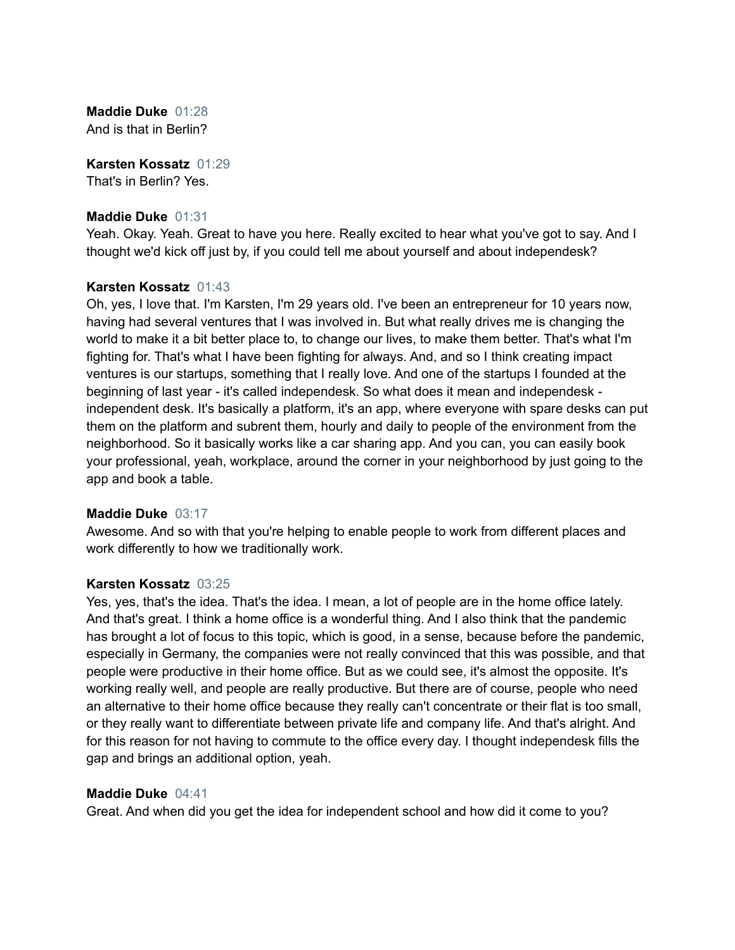**Maddie Duke** 01:28 And is that in Berlin?

**Karsten Kossatz** 01:29 That's in Berlin? Yes.

# **Maddie Duke** 01:31

Yeah. Okay. Yeah. Great to have you here. Really excited to hear what you've got to say. And I thought we'd kick off just by, if you could tell me about yourself and about independesk?

# **Karsten Kossatz** 01:43

Oh, yes, I love that. I'm Karsten, I'm 29 years old. I've been an entrepreneur for 10 years now, having had several ventures that I was involved in. But what really drives me is changing the world to make it a bit better place to, to change our lives, to make them better. That's what I'm fighting for. That's what I have been fighting for always. And, and so I think creating impact ventures is our startups, something that I really love. And one of the startups I founded at the beginning of last year - it's called independesk. So what does it mean and independesk independent desk. It's basically a platform, it's an app, where everyone with spare desks can put them on the platform and subrent them, hourly and daily to people of the environment from the neighborhood. So it basically works like a car sharing app. And you can, you can easily book your professional, yeah, workplace, around the corner in your neighborhood by just going to the app and book a table.

# **Maddie Duke** 03:17

Awesome. And so with that you're helping to enable people to work from different places and work differently to how we traditionally work.

# **Karsten Kossatz** 03:25

Yes, yes, that's the idea. That's the idea. I mean, a lot of people are in the home office lately. And that's great. I think a home office is a wonderful thing. And I also think that the pandemic has brought a lot of focus to this topic, which is good, in a sense, because before the pandemic, especially in Germany, the companies were not really convinced that this was possible, and that people were productive in their home office. But as we could see, it's almost the opposite. It's working really well, and people are really productive. But there are of course, people who need an alternative to their home office because they really can't concentrate or their flat is too small, or they really want to differentiate between private life and company life. And that's alright. And for this reason for not having to commute to the office every day. I thought independesk fills the gap and brings an additional option, yeah.

# **Maddie Duke** 04:41

Great. And when did you get the idea for independent school and how did it come to you?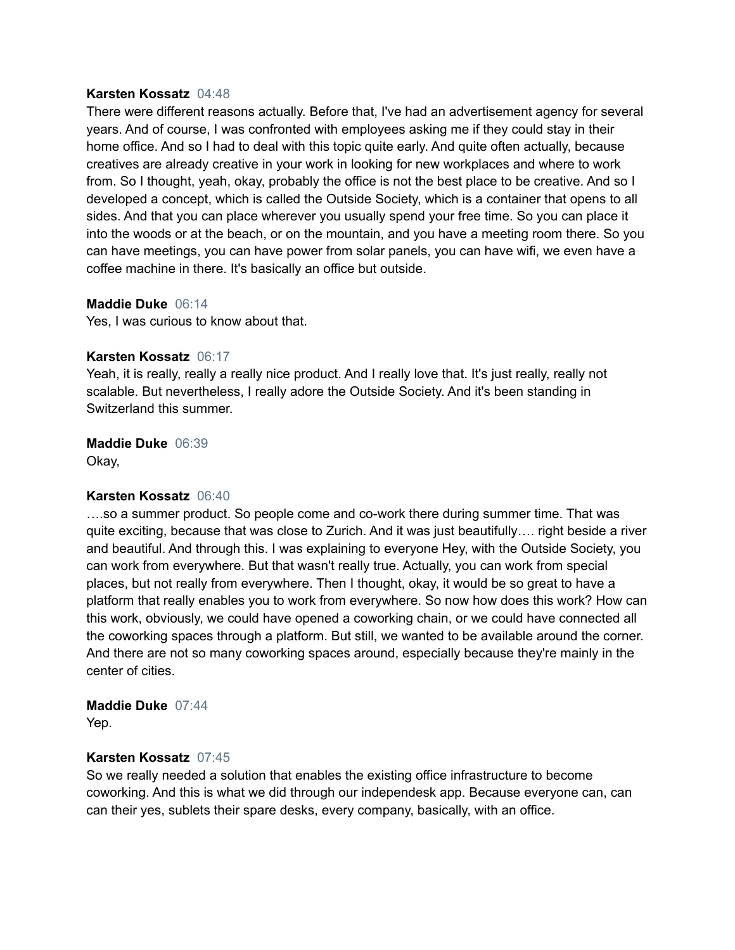#### **Karsten Kossatz** 04:48

There were different reasons actually. Before that, I've had an advertisement agency for several years. And of course, I was confronted with employees asking me if they could stay in their home office. And so I had to deal with this topic quite early. And quite often actually, because creatives are already creative in your work in looking for new workplaces and where to work from. So I thought, yeah, okay, probably the office is not the best place to be creative. And so I developed a concept, which is called the Outside Society, which is a container that opens to all sides. And that you can place wherever you usually spend your free time. So you can place it into the woods or at the beach, or on the mountain, and you have a meeting room there. So you can have meetings, you can have power from solar panels, you can have wifi, we even have a coffee machine in there. It's basically an office but outside.

#### **Maddie Duke** 06:14

Yes, I was curious to know about that.

# **Karsten Kossatz** 06:17

Yeah, it is really, really a really nice product. And I really love that. It's just really, really not scalable. But nevertheless, I really adore the Outside Society. And it's been standing in Switzerland this summer.

#### **Maddie Duke** 06:39

Okay,

# **Karsten Kossatz** 06:40

….so a summer product. So people come and co-work there during summer time. That was quite exciting, because that was close to Zurich. And it was just beautifully…. right beside a river and beautiful. And through this. I was explaining to everyone Hey, with the Outside Society, you can work from everywhere. But that wasn't really true. Actually, you can work from special places, but not really from everywhere. Then I thought, okay, it would be so great to have a platform that really enables you to work from everywhere. So now how does this work? How can this work, obviously, we could have opened a coworking chain, or we could have connected all the coworking spaces through a platform. But still, we wanted to be available around the corner. And there are not so many coworking spaces around, especially because they're mainly in the center of cities.

# **Maddie Duke** 07:44

Yep.

# **Karsten Kossatz** 07:45

So we really needed a solution that enables the existing office infrastructure to become coworking. And this is what we did through our independesk app. Because everyone can, can can their yes, sublets their spare desks, every company, basically, with an office.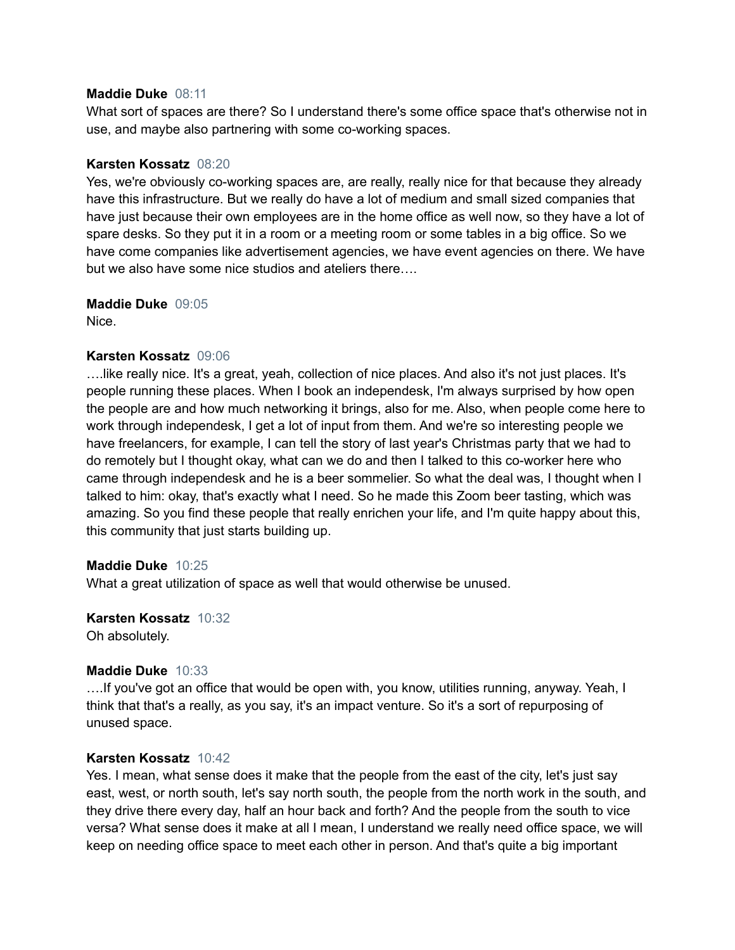# **Maddie Duke** 08:11

What sort of spaces are there? So I understand there's some office space that's otherwise not in use, and maybe also partnering with some co-working spaces.

# **Karsten Kossatz** 08:20

Yes, we're obviously co-working spaces are, are really, really nice for that because they already have this infrastructure. But we really do have a lot of medium and small sized companies that have just because their own employees are in the home office as well now, so they have a lot of spare desks. So they put it in a room or a meeting room or some tables in a big office. So we have come companies like advertisement agencies, we have event agencies on there. We have but we also have some nice studios and ateliers there….

**Maddie Duke** 09:05 Nice.

# **Karsten Kossatz** 09:06

….like really nice. It's a great, yeah, collection of nice places. And also it's not just places. It's people running these places. When I book an independesk, I'm always surprised by how open the people are and how much networking it brings, also for me. Also, when people come here to work through independesk, I get a lot of input from them. And we're so interesting people we have freelancers, for example, I can tell the story of last year's Christmas party that we had to do remotely but I thought okay, what can we do and then I talked to this co-worker here who came through independesk and he is a beer sommelier. So what the deal was, I thought when I talked to him: okay, that's exactly what I need. So he made this Zoom beer tasting, which was amazing. So you find these people that really enrichen your life, and I'm quite happy about this, this community that just starts building up.

# **Maddie Duke** 10:25

What a great utilization of space as well that would otherwise be unused.

**Karsten Kossatz** 10:32 Oh absolutely.

# **Maddie Duke** 10:33

….If you've got an office that would be open with, you know, utilities running, anyway. Yeah, I think that that's a really, as you say, it's an impact venture. So it's a sort of repurposing of unused space.

# **Karsten Kossatz** 10:42

Yes. I mean, what sense does it make that the people from the east of the city, let's just say east, west, or north south, let's say north south, the people from the north work in the south, and they drive there every day, half an hour back and forth? And the people from the south to vice versa? What sense does it make at all I mean, I understand we really need office space, we will keep on needing office space to meet each other in person. And that's quite a big important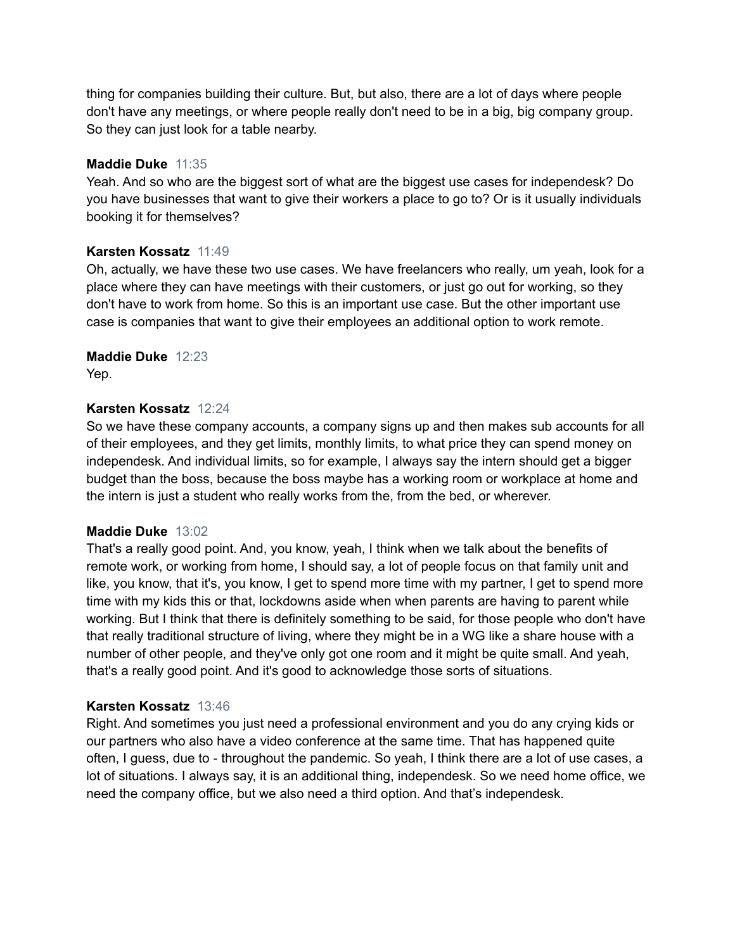thing for companies building their culture. But, but also, there are a lot of days where people don't have any meetings, or where people really don't need to be in a big, big company group. So they can just look for a table nearby.

# **Maddie Duke** 11:35

Yeah. And so who are the biggest sort of what are the biggest use cases for independesk? Do you have businesses that want to give their workers a place to go to? Or is it usually individuals booking it for themselves?

# **Karsten Kossatz** 11:49

Oh, actually, we have these two use cases. We have freelancers who really, um yeah, look for a place where they can have meetings with their customers, or just go out for working, so they don't have to work from home. So this is an important use case. But the other important use case is companies that want to give their employees an additional option to work remote.

# **Maddie Duke** 12:23

Yep.

# **Karsten Kossatz** 12:24

So we have these company accounts, a company signs up and then makes sub accounts for all of their employees, and they get limits, monthly limits, to what price they can spend money on independesk. And individual limits, so for example, I always say the intern should get a bigger budget than the boss, because the boss maybe has a working room or workplace at home and the intern is just a student who really works from the, from the bed, or wherever.

# **Maddie Duke** 13:02

That's a really good point. And, you know, yeah, I think when we talk about the benefits of remote work, or working from home, I should say, a lot of people focus on that family unit and like, you know, that it's, you know, I get to spend more time with my partner, I get to spend more time with my kids this or that, lockdowns aside when when parents are having to parent while working. But I think that there is definitely something to be said, for those people who don't have that really traditional structure of living, where they might be in a WG like a share house with a number of other people, and they've only got one room and it might be quite small. And yeah, that's a really good point. And it's good to acknowledge those sorts of situations.

# **Karsten Kossatz** 13:46

Right. And sometimes you just need a professional environment and you do any crying kids or our partners who also have a video conference at the same time. That has happened quite often, I guess, due to - throughout the pandemic. So yeah, I think there are a lot of use cases, a lot of situations. I always say, it is an additional thing, independesk. So we need home office, we need the company office, but we also need a third option. And that's independesk.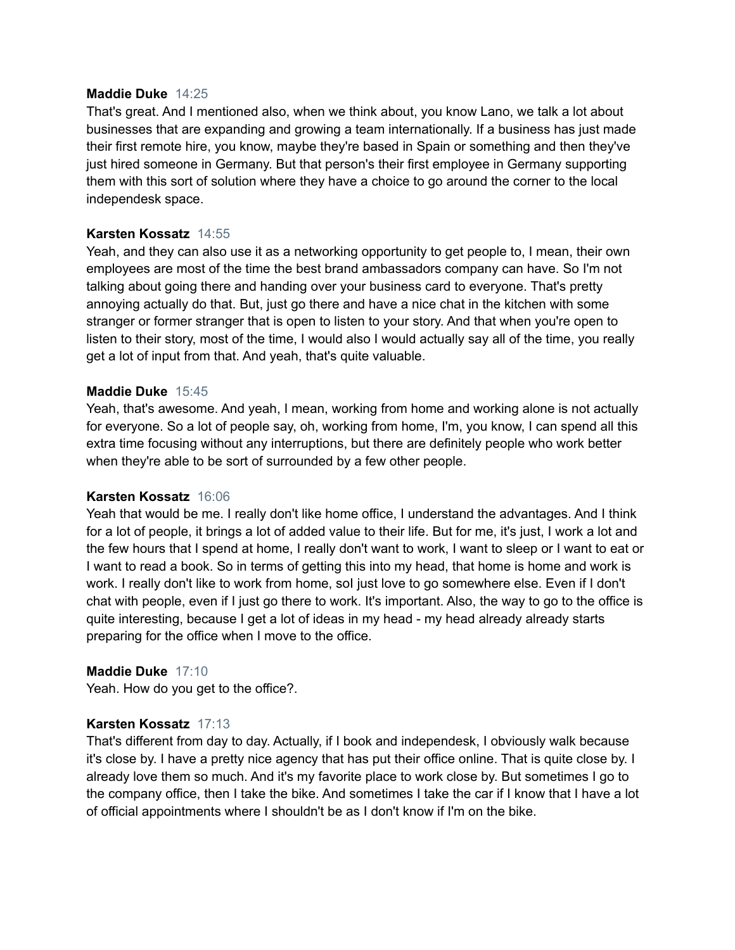# **Maddie Duke** 14:25

That's great. And I mentioned also, when we think about, you know Lano, we talk a lot about businesses that are expanding and growing a team internationally. If a business has just made their first remote hire, you know, maybe they're based in Spain or something and then they've just hired someone in Germany. But that person's their first employee in Germany supporting them with this sort of solution where they have a choice to go around the corner to the local independesk space.

# **Karsten Kossatz** 14:55

Yeah, and they can also use it as a networking opportunity to get people to, I mean, their own employees are most of the time the best brand ambassadors company can have. So I'm not talking about going there and handing over your business card to everyone. That's pretty annoying actually do that. But, just go there and have a nice chat in the kitchen with some stranger or former stranger that is open to listen to your story. And that when you're open to listen to their story, most of the time, I would also I would actually say all of the time, you really get a lot of input from that. And yeah, that's quite valuable.

# **Maddie Duke** 15:45

Yeah, that's awesome. And yeah, I mean, working from home and working alone is not actually for everyone. So a lot of people say, oh, working from home, I'm, you know, I can spend all this extra time focusing without any interruptions, but there are definitely people who work better when they're able to be sort of surrounded by a few other people.

# **Karsten Kossatz** 16:06

Yeah that would be me. I really don't like home office, I understand the advantages. And I think for a lot of people, it brings a lot of added value to their life. But for me, it's just, I work a lot and the few hours that I spend at home, I really don't want to work, I want to sleep or I want to eat or I want to read a book. So in terms of getting this into my head, that home is home and work is work. I really don't like to work from home, sol just love to go somewhere else. Even if I don't chat with people, even if I just go there to work. It's important. Also, the way to go to the office is quite interesting, because I get a lot of ideas in my head - my head already already starts preparing for the office when I move to the office.

# **Maddie Duke** 17:10

Yeah. How do you get to the office?.

# **Karsten Kossatz** 17:13

That's different from day to day. Actually, if I book and independesk, I obviously walk because it's close by. I have a pretty nice agency that has put their office online. That is quite close by. I already love them so much. And it's my favorite place to work close by. But sometimes I go to the company office, then I take the bike. And sometimes I take the car if I know that I have a lot of official appointments where I shouldn't be as I don't know if I'm on the bike.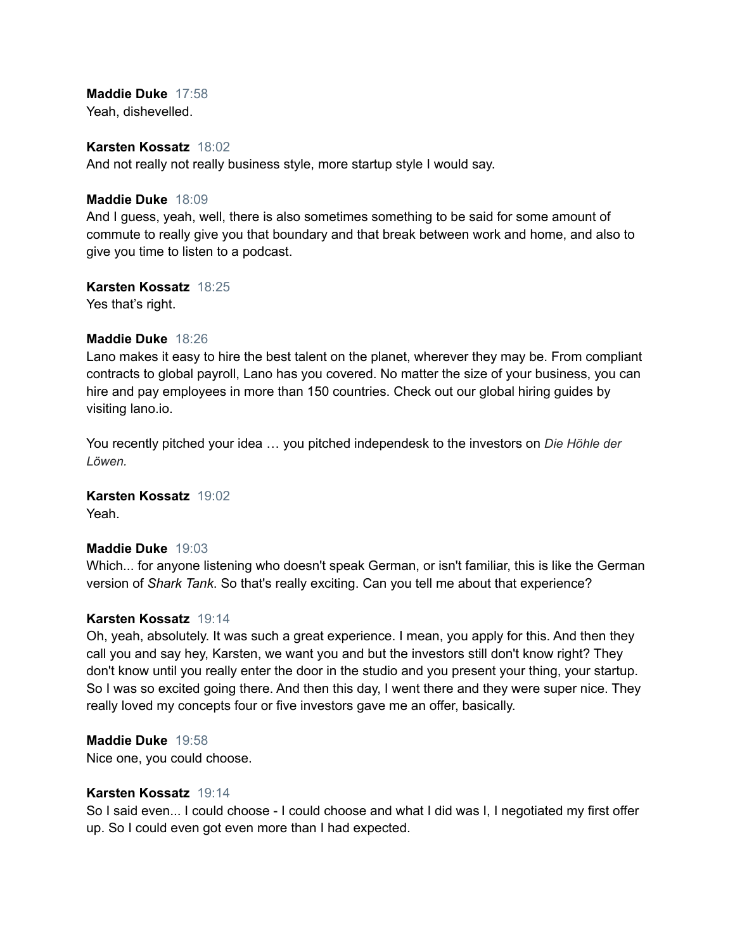**Maddie Duke** 17:58 Yeah, dishevelled.

#### **Karsten Kossatz** 18:02

And not really not really business style, more startup style I would say.

#### **Maddie Duke** 18:09

And I guess, yeah, well, there is also sometimes something to be said for some amount of commute to really give you that boundary and that break between work and home, and also to give you time to listen to a podcast.

#### **Karsten Kossatz** 18:25

Yes that's right.

# **Maddie Duke** 18:26

Lano makes it easy to hire the best talent on the planet, wherever they may be. From compliant contracts to global payroll, Lano has you covered. No matter the size of your business, you can hire and pay employees in more than 150 countries. Check out our global hiring guides by visiting lano.io.

You recently pitched your idea … you pitched independesk to the investors on *Die Höhle der Löwen.*

# **Karsten Kossatz** 19:02

Yeah.

#### **Maddie Duke** 19:03

Which... for anyone listening who doesn't speak German, or isn't familiar, this is like the German version of *Shark Tank*. So that's really exciting. Can you tell me about that experience?

#### **Karsten Kossatz** 19:14

Oh, yeah, absolutely. It was such a great experience. I mean, you apply for this. And then they call you and say hey, Karsten, we want you and but the investors still don't know right? They don't know until you really enter the door in the studio and you present your thing, your startup. So I was so excited going there. And then this day, I went there and they were super nice. They really loved my concepts four or five investors gave me an offer, basically.

#### **Maddie Duke** 19:58

Nice one, you could choose.

# **Karsten Kossatz** 19:14

So I said even... I could choose - I could choose and what I did was I, I negotiated my first offer up. So I could even got even more than I had expected.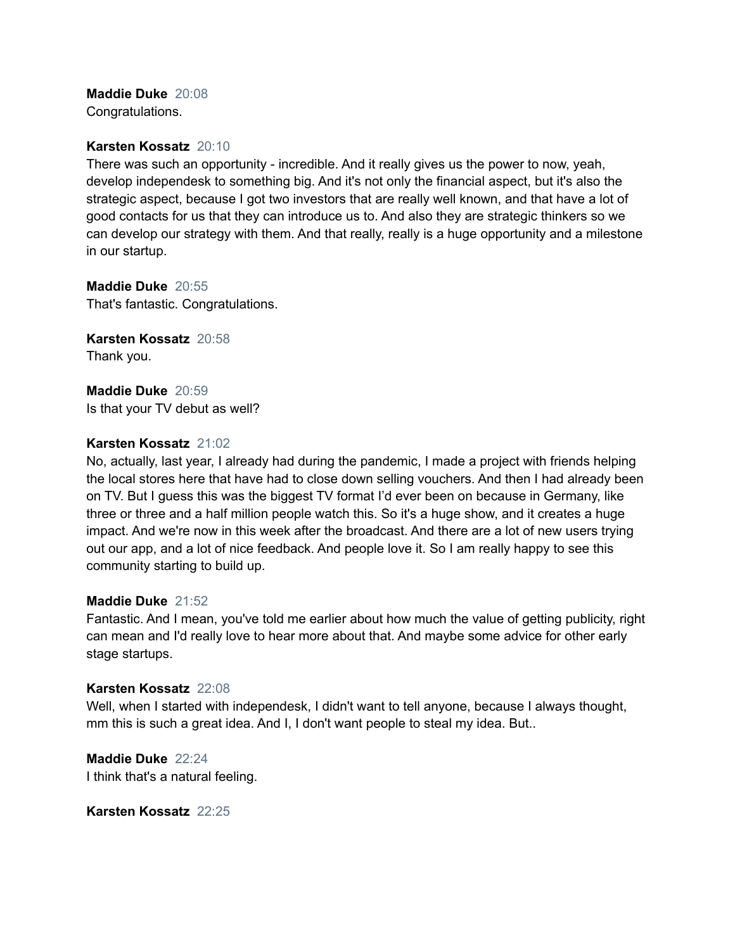# **Maddie Duke** 20:08

Congratulations.

# **Karsten Kossatz** 20:10

There was such an opportunity - incredible. And it really gives us the power to now, yeah, develop independesk to something big. And it's not only the financial aspect, but it's also the strategic aspect, because I got two investors that are really well known, and that have a lot of good contacts for us that they can introduce us to. And also they are strategic thinkers so we can develop our strategy with them. And that really, really is a huge opportunity and a milestone in our startup.

**Maddie Duke** 20:55 That's fantastic. Congratulations.

**Karsten Kossatz** 20:58 Thank you.

**Maddie Duke** 20:59 Is that your TV debut as well?

# **Karsten Kossatz** 21:02

No, actually, last year, I already had during the pandemic, I made a project with friends helping the local stores here that have had to close down selling vouchers. And then I had already been on TV. But I guess this was the biggest TV format I'd ever been on because in Germany, like three or three and a half million people watch this. So it's a huge show, and it creates a huge impact. And we're now in this week after the broadcast. And there are a lot of new users trying out our app, and a lot of nice feedback. And people love it. So I am really happy to see this community starting to build up.

# **Maddie Duke** 21:52

Fantastic. And I mean, you've told me earlier about how much the value of getting publicity, right can mean and I'd really love to hear more about that. And maybe some advice for other early stage startups.

# **Karsten Kossatz** 22:08

Well, when I started with independesk, I didn't want to tell anyone, because I always thought, mm this is such a great idea. And I, I don't want people to steal my idea. But..

**Maddie Duke** 22:24 I think that's a natural feeling.

**Karsten Kossatz** 22:25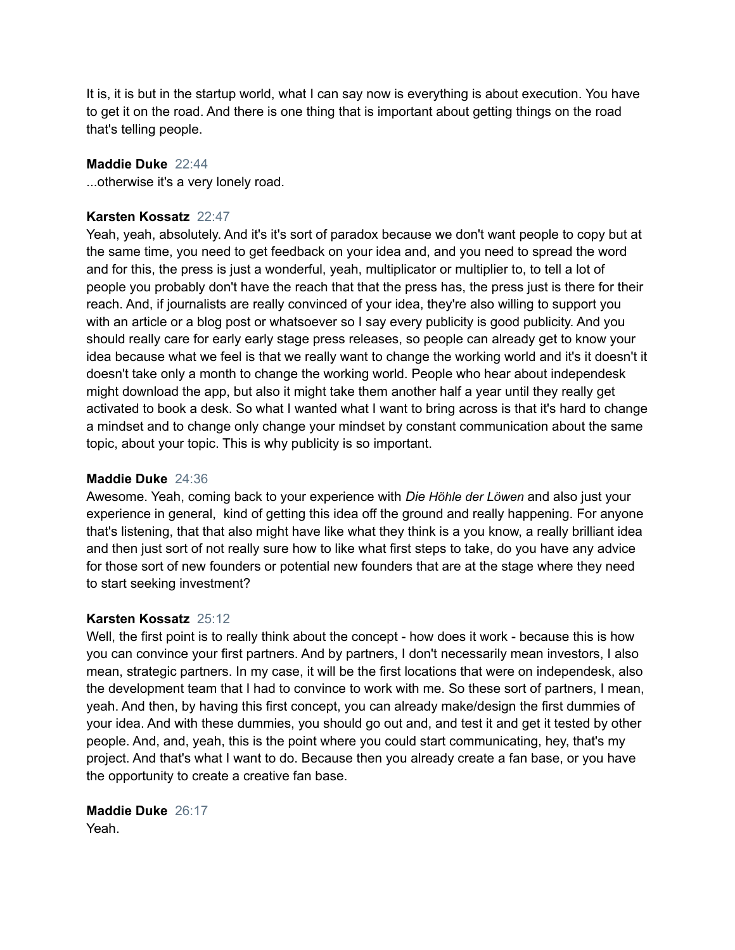It is, it is but in the startup world, what I can say now is everything is about execution. You have to get it on the road. And there is one thing that is important about getting things on the road that's telling people.

# **Maddie Duke** 22:44

...otherwise it's a very lonely road.

# **Karsten Kossatz** 22:47

Yeah, yeah, absolutely. And it's it's sort of paradox because we don't want people to copy but at the same time, you need to get feedback on your idea and, and you need to spread the word and for this, the press is just a wonderful, yeah, multiplicator or multiplier to, to tell a lot of people you probably don't have the reach that that the press has, the press just is there for their reach. And, if journalists are really convinced of your idea, they're also willing to support you with an article or a blog post or whatsoever so I say every publicity is good publicity. And you should really care for early early stage press releases, so people can already get to know your idea because what we feel is that we really want to change the working world and it's it doesn't it doesn't take only a month to change the working world. People who hear about independesk might download the app, but also it might take them another half a year until they really get activated to book a desk. So what I wanted what I want to bring across is that it's hard to change a mindset and to change only change your mindset by constant communication about the same topic, about your topic. This is why publicity is so important.

# **Maddie Duke** 24:36

Awesome. Yeah, coming back to your experience with *Die Höhle der Löwen* and also just your experience in general, kind of getting this idea off the ground and really happening. For anyone that's listening, that that also might have like what they think is a you know, a really brilliant idea and then just sort of not really sure how to like what first steps to take, do you have any advice for those sort of new founders or potential new founders that are at the stage where they need to start seeking investment?

#### **Karsten Kossatz** 25:12

Well, the first point is to really think about the concept - how does it work - because this is how you can convince your first partners. And by partners, I don't necessarily mean investors, I also mean, strategic partners. In my case, it will be the first locations that were on independesk, also the development team that I had to convince to work with me. So these sort of partners, I mean, yeah. And then, by having this first concept, you can already make/design the first dummies of your idea. And with these dummies, you should go out and, and test it and get it tested by other people. And, and, yeah, this is the point where you could start communicating, hey, that's my project. And that's what I want to do. Because then you already create a fan base, or you have the opportunity to create a creative fan base.

**Maddie Duke** 26:17 Yeah.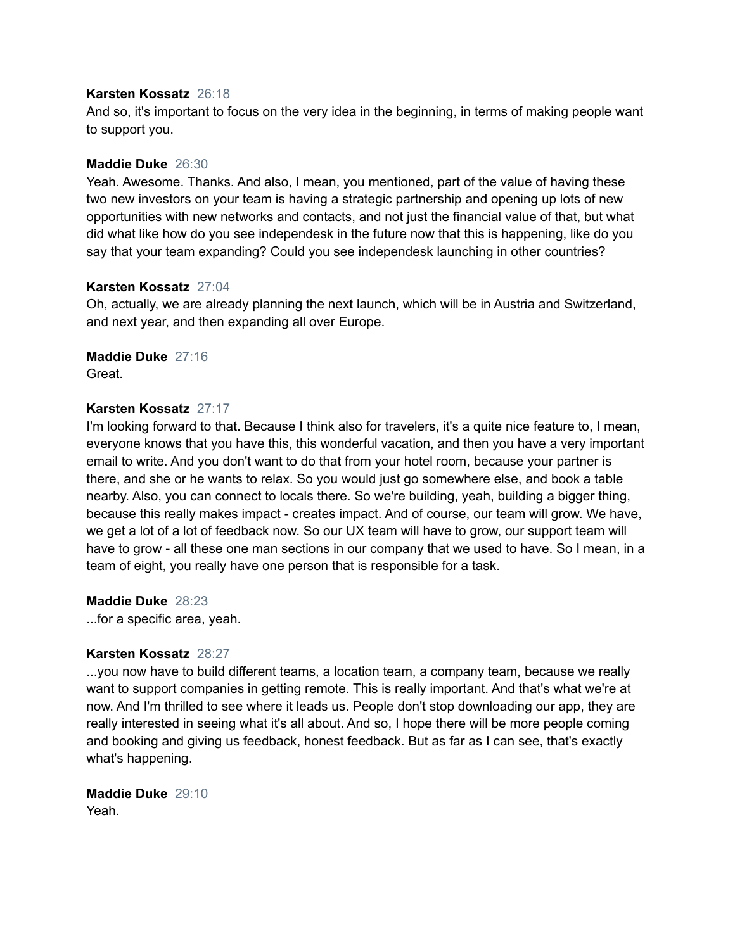#### **Karsten Kossatz** 26:18

And so, it's important to focus on the very idea in the beginning, in terms of making people want to support you.

# **Maddie Duke** 26:30

Yeah. Awesome. Thanks. And also, I mean, you mentioned, part of the value of having these two new investors on your team is having a strategic partnership and opening up lots of new opportunities with new networks and contacts, and not just the financial value of that, but what did what like how do you see independesk in the future now that this is happening, like do you say that your team expanding? Could you see independesk launching in other countries?

#### **Karsten Kossatz** 27:04

Oh, actually, we are already planning the next launch, which will be in Austria and Switzerland, and next year, and then expanding all over Europe.

# **Maddie Duke** 27:16

Great.

# **Karsten Kossatz** 27:17

I'm looking forward to that. Because I think also for travelers, it's a quite nice feature to, I mean, everyone knows that you have this, this wonderful vacation, and then you have a very important email to write. And you don't want to do that from your hotel room, because your partner is there, and she or he wants to relax. So you would just go somewhere else, and book a table nearby. Also, you can connect to locals there. So we're building, yeah, building a bigger thing, because this really makes impact - creates impact. And of course, our team will grow. We have, we get a lot of a lot of feedback now. So our UX team will have to grow, our support team will have to grow - all these one man sections in our company that we used to have. So I mean, in a team of eight, you really have one person that is responsible for a task.

**Maddie Duke** 28:23

...for a specific area, yeah.

# **Karsten Kossatz** 28:27

...you now have to build different teams, a location team, a company team, because we really want to support companies in getting remote. This is really important. And that's what we're at now. And I'm thrilled to see where it leads us. People don't stop downloading our app, they are really interested in seeing what it's all about. And so, I hope there will be more people coming and booking and giving us feedback, honest feedback. But as far as I can see, that's exactly what's happening.

**Maddie Duke** 29:10 Yeah.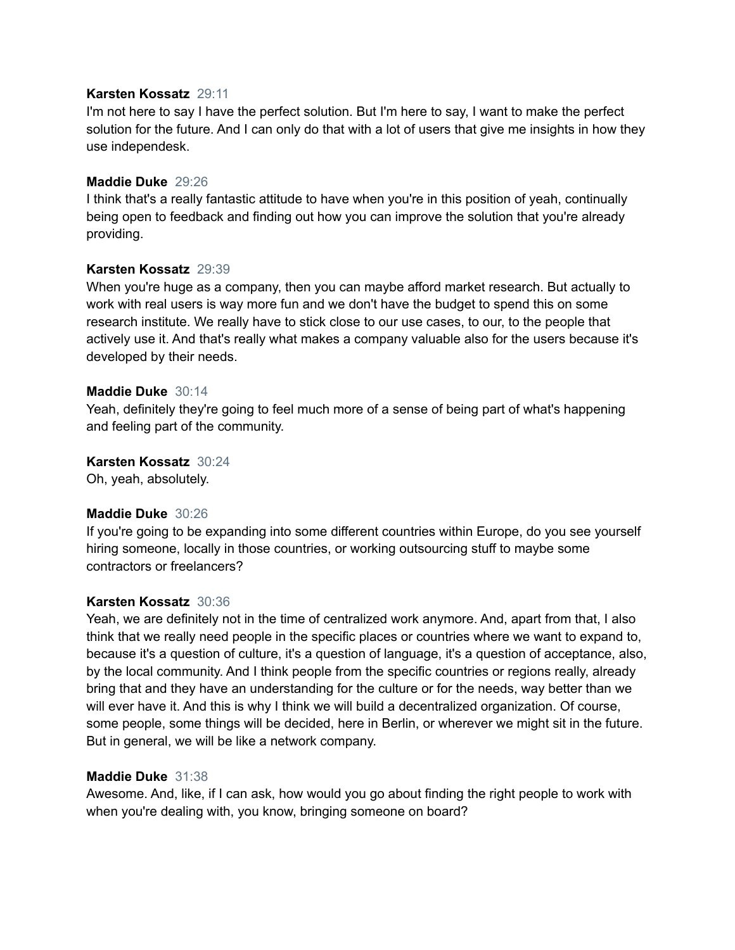# **Karsten Kossatz** 29:11

I'm not here to say I have the perfect solution. But I'm here to say, I want to make the perfect solution for the future. And I can only do that with a lot of users that give me insights in how they use independesk.

# **Maddie Duke** 29:26

I think that's a really fantastic attitude to have when you're in this position of yeah, continually being open to feedback and finding out how you can improve the solution that you're already providing.

# **Karsten Kossatz** 29:39

When you're huge as a company, then you can maybe afford market research. But actually to work with real users is way more fun and we don't have the budget to spend this on some research institute. We really have to stick close to our use cases, to our, to the people that actively use it. And that's really what makes a company valuable also for the users because it's developed by their needs.

# **Maddie Duke** 30:14

Yeah, definitely they're going to feel much more of a sense of being part of what's happening and feeling part of the community.

# **Karsten Kossatz** 30:24

Oh, yeah, absolutely.

# **Maddie Duke** 30:26

If you're going to be expanding into some different countries within Europe, do you see yourself hiring someone, locally in those countries, or working outsourcing stuff to maybe some contractors or freelancers?

# **Karsten Kossatz** 30:36

Yeah, we are definitely not in the time of centralized work anymore. And, apart from that, I also think that we really need people in the specific places or countries where we want to expand to, because it's a question of culture, it's a question of language, it's a question of acceptance, also, by the local community. And I think people from the specific countries or regions really, already bring that and they have an understanding for the culture or for the needs, way better than we will ever have it. And this is why I think we will build a decentralized organization. Of course, some people, some things will be decided, here in Berlin, or wherever we might sit in the future. But in general, we will be like a network company.

# **Maddie Duke** 31:38

Awesome. And, like, if I can ask, how would you go about finding the right people to work with when you're dealing with, you know, bringing someone on board?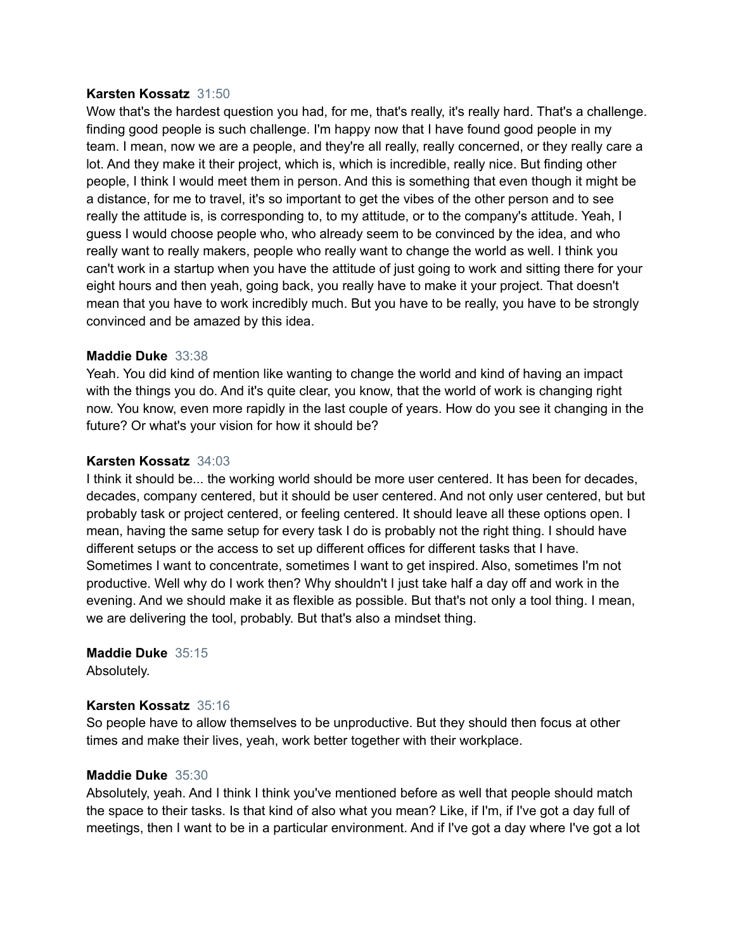# **Karsten Kossatz** 31:50

Wow that's the hardest question you had, for me, that's really, it's really hard. That's a challenge. finding good people is such challenge. I'm happy now that I have found good people in my team. I mean, now we are a people, and they're all really, really concerned, or they really care a lot. And they make it their project, which is, which is incredible, really nice. But finding other people, I think I would meet them in person. And this is something that even though it might be a distance, for me to travel, it's so important to get the vibes of the other person and to see really the attitude is, is corresponding to, to my attitude, or to the company's attitude. Yeah, I guess I would choose people who, who already seem to be convinced by the idea, and who really want to really makers, people who really want to change the world as well. I think you can't work in a startup when you have the attitude of just going to work and sitting there for your eight hours and then yeah, going back, you really have to make it your project. That doesn't mean that you have to work incredibly much. But you have to be really, you have to be strongly convinced and be amazed by this idea.

# **Maddie Duke** 33:38

Yeah. You did kind of mention like wanting to change the world and kind of having an impact with the things you do. And it's quite clear, you know, that the world of work is changing right now. You know, even more rapidly in the last couple of years. How do you see it changing in the future? Or what's your vision for how it should be?

# **Karsten Kossatz** 34:03

I think it should be... the working world should be more user centered. It has been for decades, decades, company centered, but it should be user centered. And not only user centered, but but probably task or project centered, or feeling centered. It should leave all these options open. I mean, having the same setup for every task I do is probably not the right thing. I should have different setups or the access to set up different offices for different tasks that I have. Sometimes I want to concentrate, sometimes I want to get inspired. Also, sometimes I'm not productive. Well why do I work then? Why shouldn't I just take half a day off and work in the evening. And we should make it as flexible as possible. But that's not only a tool thing. I mean, we are delivering the tool, probably. But that's also a mindset thing.

**Maddie Duke** 35:15 Absolutely.

# **Karsten Kossatz** 35:16

So people have to allow themselves to be unproductive. But they should then focus at other times and make their lives, yeah, work better together with their workplace.

# **Maddie Duke** 35:30

Absolutely, yeah. And I think I think you've mentioned before as well that people should match the space to their tasks. Is that kind of also what you mean? Like, if I'm, if I've got a day full of meetings, then I want to be in a particular environment. And if I've got a day where I've got a lot